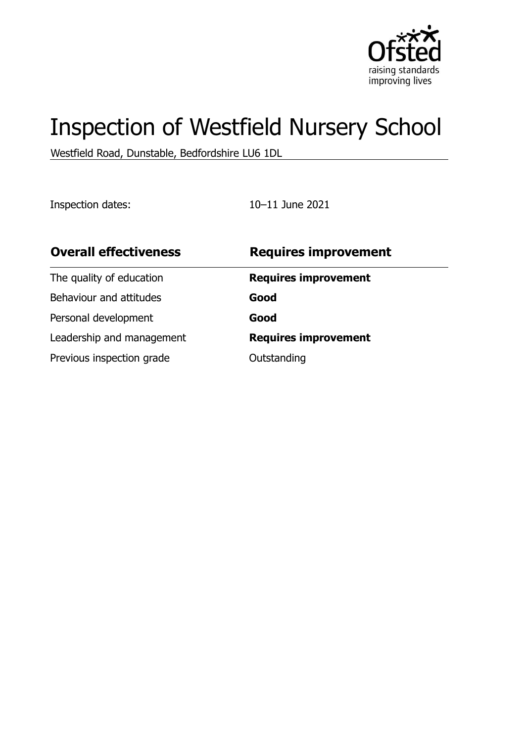

# Inspection of Westfield Nursery School

Westfield Road, Dunstable, Bedfordshire LU6 1DL

Inspection dates: 10–11 June 2021

| <b>Overall effectiveness</b> | <b>Requires improvement</b> |
|------------------------------|-----------------------------|
| The quality of education     | <b>Requires improvement</b> |
| Behaviour and attitudes      | Good                        |
| Personal development         | Good                        |
| Leadership and management    | <b>Requires improvement</b> |
| Previous inspection grade    | Outstanding                 |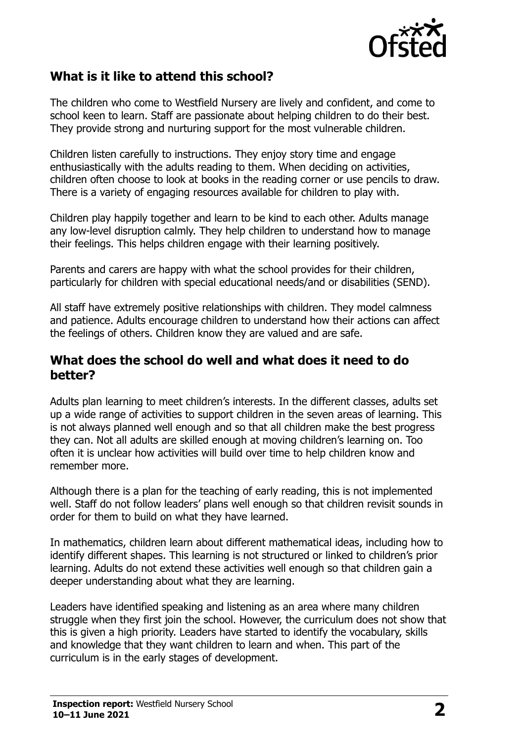

## **What is it like to attend this school?**

The children who come to Westfield Nursery are lively and confident, and come to school keen to learn. Staff are passionate about helping children to do their best. They provide strong and nurturing support for the most vulnerable children.

Children listen carefully to instructions. They enjoy story time and engage enthusiastically with the adults reading to them. When deciding on activities, children often choose to look at books in the reading corner or use pencils to draw. There is a variety of engaging resources available for children to play with.

Children play happily together and learn to be kind to each other. Adults manage any low-level disruption calmly. They help children to understand how to manage their feelings. This helps children engage with their learning positively.

Parents and carers are happy with what the school provides for their children, particularly for children with special educational needs/and or disabilities (SEND).

All staff have extremely positive relationships with children. They model calmness and patience. Adults encourage children to understand how their actions can affect the feelings of others. Children know they are valued and are safe.

#### **What does the school do well and what does it need to do better?**

Adults plan learning to meet children's interests. In the different classes, adults set up a wide range of activities to support children in the seven areas of learning. This is not always planned well enough and so that all children make the best progress they can. Not all adults are skilled enough at moving children's learning on. Too often it is unclear how activities will build over time to help children know and remember more.

Although there is a plan for the teaching of early reading, this is not implemented well. Staff do not follow leaders' plans well enough so that children revisit sounds in order for them to build on what they have learned.

In mathematics, children learn about different mathematical ideas, including how to identify different shapes. This learning is not structured or linked to children's prior learning. Adults do not extend these activities well enough so that children gain a deeper understanding about what they are learning.

Leaders have identified speaking and listening as an area where many children struggle when they first join the school. However, the curriculum does not show that this is given a high priority. Leaders have started to identify the vocabulary, skills and knowledge that they want children to learn and when. This part of the curriculum is in the early stages of development.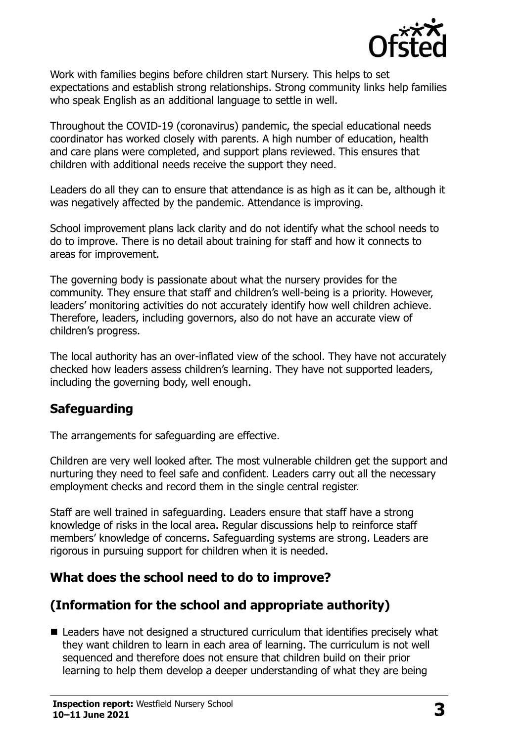

Work with families begins before children start Nursery. This helps to set expectations and establish strong relationships. Strong community links help families who speak English as an additional language to settle in well.

Throughout the COVID-19 (coronavirus) pandemic, the special educational needs coordinator has worked closely with parents. A high number of education, health and care plans were completed, and support plans reviewed. This ensures that children with additional needs receive the support they need.

Leaders do all they can to ensure that attendance is as high as it can be, although it was negatively affected by the pandemic. Attendance is improving.

School improvement plans lack clarity and do not identify what the school needs to do to improve. There is no detail about training for staff and how it connects to areas for improvement.

The governing body is passionate about what the nursery provides for the community. They ensure that staff and children's well-being is a priority. However, leaders' monitoring activities do not accurately identify how well children achieve. Therefore, leaders, including governors, also do not have an accurate view of children's progress.

The local authority has an over-inflated view of the school. They have not accurately checked how leaders assess children's learning. They have not supported leaders, including the governing body, well enough.

### **Safeguarding**

The arrangements for safeguarding are effective.

Children are very well looked after. The most vulnerable children get the support and nurturing they need to feel safe and confident. Leaders carry out all the necessary employment checks and record them in the single central register.

Staff are well trained in safeguarding. Leaders ensure that staff have a strong knowledge of risks in the local area. Regular discussions help to reinforce staff members' knowledge of concerns. Safeguarding systems are strong. Leaders are rigorous in pursuing support for children when it is needed.

### **What does the school need to do to improve?**

# **(Information for the school and appropriate authority)**

■ Leaders have not designed a structured curriculum that identifies precisely what they want children to learn in each area of learning. The curriculum is not well sequenced and therefore does not ensure that children build on their prior learning to help them develop a deeper understanding of what they are being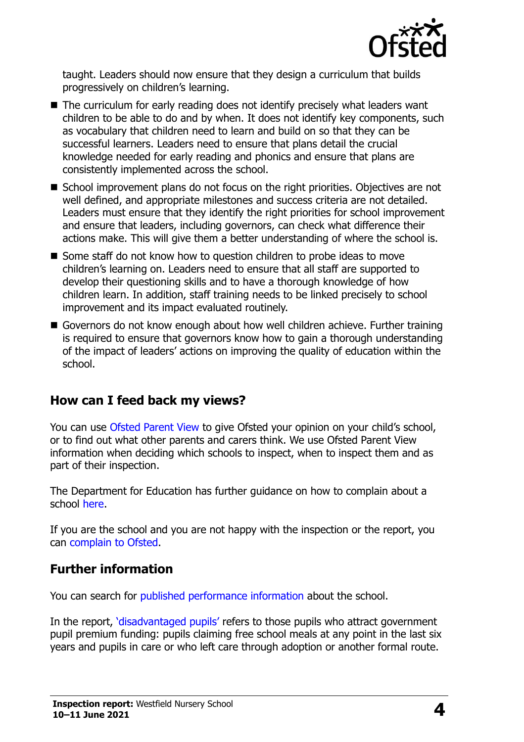

taught. Leaders should now ensure that they design a curriculum that builds progressively on children's learning.

- The curriculum for early reading does not identify precisely what leaders want children to be able to do and by when. It does not identify key components, such as vocabulary that children need to learn and build on so that they can be successful learners. Leaders need to ensure that plans detail the crucial knowledge needed for early reading and phonics and ensure that plans are consistently implemented across the school.
- School improvement plans do not focus on the right priorities. Objectives are not well defined, and appropriate milestones and success criteria are not detailed. Leaders must ensure that they identify the right priorities for school improvement and ensure that leaders, including governors, can check what difference their actions make. This will give them a better understanding of where the school is.
- Some staff do not know how to question children to probe ideas to move children's learning on. Leaders need to ensure that all staff are supported to develop their questioning skills and to have a thorough knowledge of how children learn. In addition, staff training needs to be linked precisely to school improvement and its impact evaluated routinely.
- Governors do not know enough about how well children achieve. Further training is required to ensure that governors know how to gain a thorough understanding of the impact of leaders' actions on improving the quality of education within the school.

### **How can I feed back my views?**

You can use [Ofsted Parent View](http://parentview.ofsted.gov.uk/) to give Ofsted your opinion on your child's school, or to find out what other parents and carers think. We use Ofsted Parent View information when deciding which schools to inspect, when to inspect them and as part of their inspection.

The Department for Education has further guidance on how to complain about a school [here.](https://www.gov.uk/complain-about-school)

If you are the school and you are not happy with the inspection or the report, you can [complain to Ofsted.](http://www.gov.uk/complain-ofsted-report)

### **Further information**

You can search for [published performance information](http://www.compare-school-performance.service.gov.uk/) about the school.

In the report, '[disadvantaged pupils](http://www.gov.uk/guidance/pupil-premium-information-for-schools-and-alternative-provision-settings)' refers to those pupils who attract government pupil premium funding: pupils claiming free school meals at any point in the last six years and pupils in care or who left care through adoption or another formal route.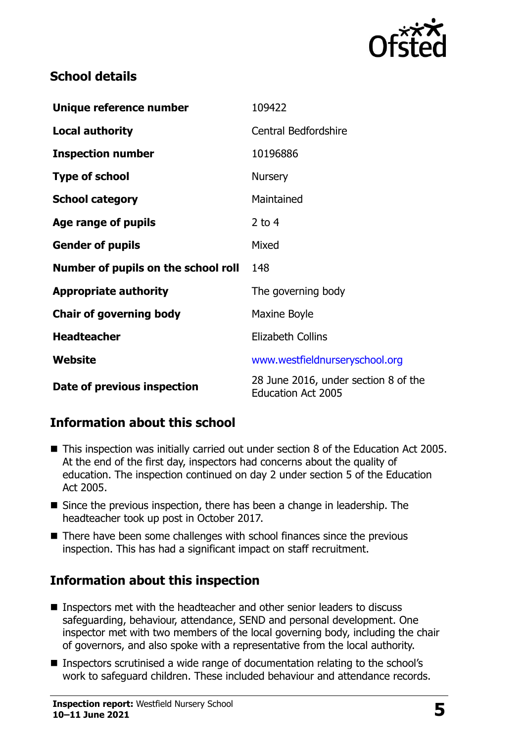

# **School details**

| Unique reference number             | 109422                                                            |
|-------------------------------------|-------------------------------------------------------------------|
| <b>Local authority</b>              | <b>Central Bedfordshire</b>                                       |
| <b>Inspection number</b>            | 10196886                                                          |
| <b>Type of school</b>               | <b>Nursery</b>                                                    |
| <b>School category</b>              | Maintained                                                        |
| Age range of pupils                 | 2 to $4$                                                          |
| <b>Gender of pupils</b>             | Mixed                                                             |
| Number of pupils on the school roll | 148                                                               |
| <b>Appropriate authority</b>        | The governing body                                                |
| <b>Chair of governing body</b>      | Maxine Boyle                                                      |
| <b>Headteacher</b>                  | <b>Elizabeth Collins</b>                                          |
| Website                             | www.westfieldnurseryschool.org                                    |
| Date of previous inspection         | 28 June 2016, under section 8 of the<br><b>Education Act 2005</b> |

# **Information about this school**

- This inspection was initially carried out under section 8 of the Education Act 2005. At the end of the first day, inspectors had concerns about the quality of education. The inspection continued on day 2 under section 5 of the Education Act 2005.
- Since the previous inspection, there has been a change in leadership. The headteacher took up post in October 2017.
- There have been some challenges with school finances since the previous inspection. This has had a significant impact on staff recruitment.

# **Information about this inspection**

- Inspectors met with the headteacher and other senior leaders to discuss safeguarding, behaviour, attendance, SEND and personal development. One inspector met with two members of the local governing body, including the chair of governors, and also spoke with a representative from the local authority.
- Inspectors scrutinised a wide range of documentation relating to the school's work to safeguard children. These included behaviour and attendance records.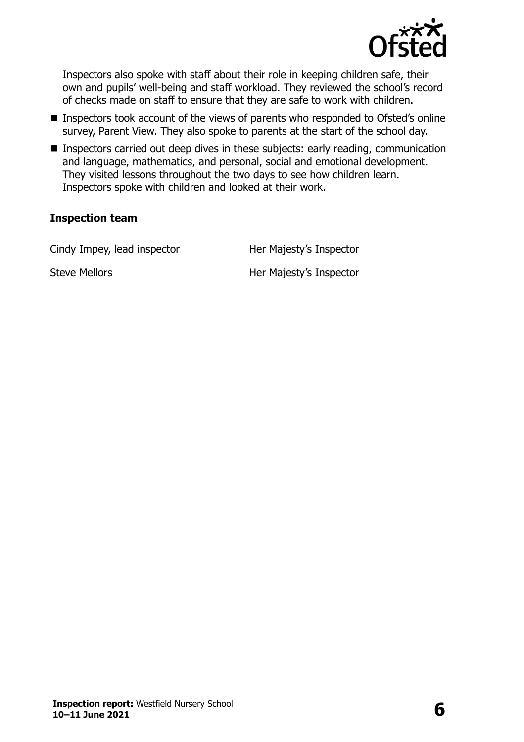

Inspectors also spoke with staff about their role in keeping children safe, their own and pupils' well-being and staff workload. They reviewed the school's record of checks made on staff to ensure that they are safe to work with children.

- Inspectors took account of the views of parents who responded to Ofsted's online survey, Parent View. They also spoke to parents at the start of the school day.
- Inspectors carried out deep dives in these subjects: early reading, communication and language, mathematics, and personal, social and emotional development. They visited lessons throughout the two days to see how children learn. Inspectors spoke with children and looked at their work.

#### **Inspection team**

Cindy Impey, lead inspector **Her Majesty's Inspector** 

Steve Mellors **Her Majesty's Inspector**